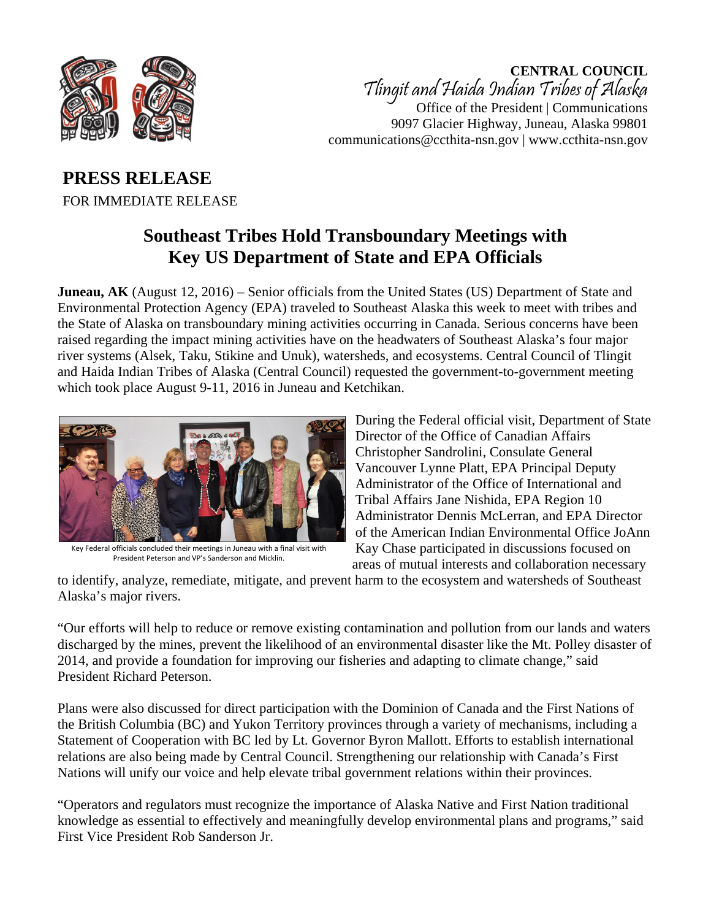

**CENTRAL COUNCIL** Tlingit and Haida Indian Tribes of Alaska Office of the President | Communications 9097 Glacier Highway, Juneau, Alaska 99801 communications@ccthita-nsn.gov | www.ccthita-nsn.gov

## **PRESS RELEASE** FOR IMMEDIATE RELEASE

## **Southeast Tribes Hold Transboundary Meetings with Key US Department of State and EPA Officials**

**Juneau, AK** (August 12, 2016) – Senior officials from the United States (US) Department of State and Environmental Protection Agency (EPA) traveled to Southeast Alaska this week to meet with tribes and the State of Alaska on transboundary mining activities occurring in Canada. Serious concerns have been raised regarding the impact mining activities have on the headwaters of Southeast Alaska's four major river systems (Alsek, Taku, Stikine and Unuk), watersheds, and ecosystems. Central Council of Tlingit and Haida Indian Tribes of Alaska (Central Council) requested the government-to-government meeting which took place August 9-11, 2016 in Juneau and Ketchikan.



Key Federal officials concluded their meetings in Juneau with a final visit with President Peterson and VP's Sanderson and Micklin.

During the Federal official visit, Department of State Director of the Office of Canadian Affairs Christopher Sandrolini, Consulate General Vancouver Lynne Platt, EPA Principal Deputy Administrator of the Office of International and Tribal Affairs Jane Nishida, EPA Region 10 Administrator Dennis McLerran, and EPA Director of the American Indian Environmental Office JoAnn Kay Chase participated in discussions focused on areas of mutual interests and collaboration necessary

to identify, analyze, remediate, mitigate, and prevent harm to the ecosystem and watersheds of Southeast Alaska's major rivers.

"Our efforts will help to reduce or remove existing contamination and pollution from our lands and waters discharged by the mines, prevent the likelihood of an environmental disaster like the Mt. Polley disaster of 2014, and provide a foundation for improving our fisheries and adapting to climate change," said President Richard Peterson.

Plans were also discussed for direct participation with the Dominion of Canada and the First Nations of the British Columbia (BC) and Yukon Territory provinces through a variety of mechanisms, including a Statement of Cooperation with BC led by Lt. Governor Byron Mallott. Efforts to establish international relations are also being made by Central Council. Strengthening our relationship with Canada's First Nations will unify our voice and help elevate tribal government relations within their provinces.

"Operators and regulators must recognize the importance of Alaska Native and First Nation traditional knowledge as essential to effectively and meaningfully develop environmental plans and programs," said First Vice President Rob Sanderson Jr.